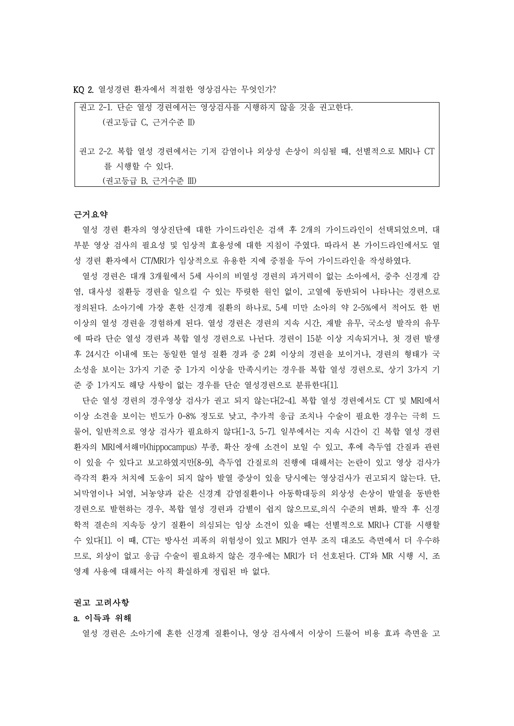KQ 2. 열성경련 환자에서 적절한 영상검사는 무엇인가?

| 권고 2-1. 단순 열성 경련에서는 영상검사를 시행하지 않을 것을 권고한다.               |
|----------------------------------------------------------|
| (권고등급 C, 근거수준 II)                                        |
|                                                          |
| 권고 2-2. 복합 열성 경련에서는 기저 감염이나 외상성 손상이 의심될 때, 선별적으로 MRI나 CT |
| 를 시행할 수 있다.                                              |
| (권고등급 B, 근거수준 III)                                       |

#### 근거요약

열성 경련 환자의 영상진단에 대한 가이드라인은 검색 후 2개의 가이드라인이 선택되었으며, 대 부분 영상 검사의 필요성 및 임상적 효용성에 대한 지침이 주였다. 따라서 본 가이드라인에서도 열 성 경련 환자에서 CT/MRI가 임상적으로 유용한 지에 중점을 두어 가이드라인을 작성하였다.<br>-<br>열성 경련은 대개 3개월에서 5세 사이의 비열성 경련의 과거력이 없는 소아에서, 중추 신경계 감

염, 대사성 질환등 경련을 일으킬 수 있는 뚜렷한 원인 없이, 고열에 동반되어 나타나는 경련으로 정의된다. 소아기에 가장 흔한 신경계 질환의 하나로, 5세 미만 소아의 약 2-5%에서 적어도 한 번 이상의 열성 경련을 경험하게 된다. 열성 경련은 경련의 지속 시간, 재발 유무, 국소성 발작의 유무 에 따라 단순 열성 경련과 복합 열성 경련으로 나뉜다. 경련이 15분 이상 지속되거나, 첫 경련 발생 후 24시간 이내에 또는 동일한 열성 질환 경과 중 2회 이상의 경련을 보이거나, 경련의 형태가 국 소성을 보이는 3가지 기준 중 1가지 이상을 만족시키는 경우를 복합 열성 경련으로, 상기 3가지 기 준 중 1가지도 해당 사항이 없는 경우를 단순 열성경련으로 분류한다[1].

단순 열성 경련의 경우영상 검사가 권고 되지 않는다[2-4]. 복합 열성 경련에서도 CT 및 MRI에서 이상 소견을 보이는 빈도가 0-8% 정도로 낮고, 추가적 응급 조치나 수술이 필요한 경우는 극히 드 물어, 일반적으로 영상 검사가 필요하지 않다[1-3, 5-7]. 일부에서는 지속 시간이 긴 복합 열성 경련 환자의 MRI에서해마(hippocampus) 부종, 확산 장애 소견이 보일 수 있고, 후에 측두엽 간질과 관련 이 있을 수 있다고 보고하였지만[8-9], 측두엽 간질로의 진행에 대해서는 논란이 있고 영상 검사가 즉각적 환자 처치에 도움이 되지 않아 발열 증상이 있을 당시에는 영상검사가 권고되지 않는다. 단,<br>뇌막염이나 뇌염, 뇌농양과 같은 신경계 감염질환이나 아동학대등의 외상성 손상이 발열을 동반한 경련으로 발현하는 경우, 복합 열성 경련과 감별이 쉽지 않으므로,의식 수준의 변화, 발작 후 신경 학적 결손의 지속등 상기 질환이 의심되는 임상 소견이 있을 때는 선별적으로 MRI나 CT를 시행할 수 있다[1]. 이 때, CT는 방사선 피폭의 위험성이 있고 MRI가 연부 조직 대조도 측면에서 더 우수하 므로, 외상이 없고 응급 수술이 필요하지 않은 경우에는 MRI가 더 선호된다. CT와 MR 시행 시, 조 영제 사용에 대해서는 아직 확실하게 정립된 바 없다.<br>**권고 고려사항** 

## a. 이득과 위해

열성 경련은 소아기에 흔한 신경계 질환이나, 영상 검사에서 이상이 드물어 비용 효과 측면을 고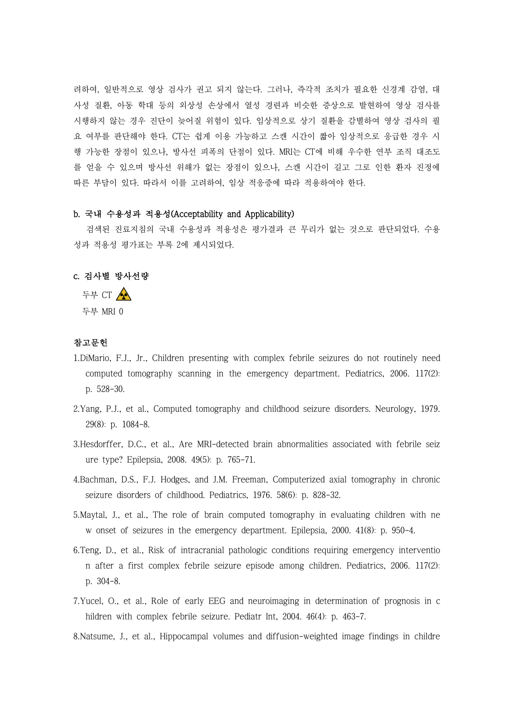려하여, 일반적으로 영상 검사가 권고 되지 않는다. 그러나, 즉각적 조치가 필요한 신경계 감염, 대 사성 질환, 아동 학대 등의 외상성 손상에서 열성 경련과 비슷한 증상으로 발현하여 영상 검사를 시행하지 않는 경우 진단이 늦어질 위험이 있다. 임상적으로 상기 질환을 감별하여 영상 검사의 필 요 여부를 판단해야 한다. CT는 쉽게 이용 가능하고 스캔 시간이 짧아 임상적으로 응급한 경우 시 행 가능한 장점이 있으나, 방사선 피폭의 단점이 있다. MRI는 CT에 비해 우수한 연부 조직 대조도 를 얻을 수 있으며 방사선 위해가 없는 장점이 있으나, 스캔 시간이 길고 그로 인한 환자 진정에 따른 부담이 있다. 따라서 이를 고려하여, 임상 적응증에 따라 적용하여야 한다.

# b. 국내 수용성과 적용성(Acceptability and Applicability)

검색된 진료지침의 국내 수용성과 적용성은 평가결과 큰 무리가 없는 것으로 판단되었다. 수용 성과 적용성 평가표는 부록 2에 제시되었다.

## c. 검사별 방사선량

두부 CT 두부 MRI 0

# 참고문헌

- 1.DiMario, F.J., Jr., Children presenting with complex febrile seizures do not routinely need computed tomography scanning in the emergency department. Pediatrics, 2006. 117(2): p. 528-30.
- 2.Yang, P.J., et al., Computed tomography and childhood seizure disorders. Neurology, 1979. 29(8): p. 1084-8.
- 3.Hesdorffer, D.C., et al., Are MRI-detected brain abnormalities associated with febrile seiz ure type? Epilepsia, 2008. 49(5): p. 765-71.
- 4.Bachman, D.S., F.J. Hodges, and J.M. Freeman, Computerized axial tomography in chronic seizure disorders of childhood. Pediatrics, 1976. 58(6): p. 828-32.
- 5.Maytal, J., et al., The role of brain computed tomography in evaluating children with ne w onset of seizures in the emergency department. Epilepsia, 2000. 41(8): p. 950-4.
- 6.Teng, D., et al., Risk of intracranial pathologic conditions requiring emergency interventio n after a first complex febrile seizure episode among children. Pediatrics, 2006. 117(2): p. 304-8.
- 7.Yucel, O., et al., Role of early EEG and neuroimaging in determination of prognosis in c hildren with complex febrile seizure. Pediatr Int, 2004. 46(4): p. 463-7.
- 8.Natsume, J., et al., Hippocampal volumes and diffusion-weighted image findings in childre